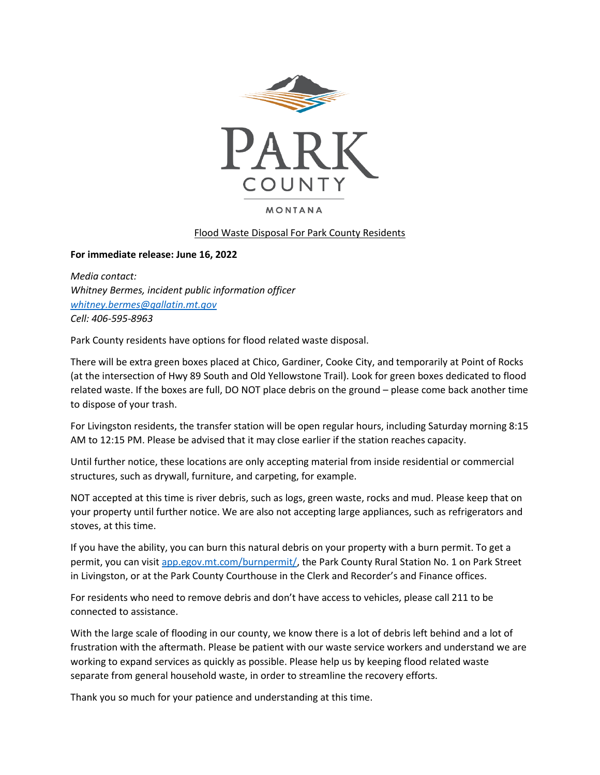

**MONTANA** 

## Flood Waste Disposal For Park County Residents

## **For immediate release: June 16, 2022**

*Media contact: Whitney Bermes, incident public information officer [whitney.bermes@gallatin.mt.gov](mailto:whitney.bermes@gallatin.mt.gov) Cell: 406-595-8963*

Park County residents have options for flood related waste disposal.

There will be extra green boxes placed at Chico, Gardiner, Cooke City, and temporarily at Point of Rocks (at the intersection of Hwy 89 South and Old Yellowstone Trail). Look for green boxes dedicated to flood related waste. If the boxes are full, DO NOT place debris on the ground – please come back another time to dispose of your trash.

For Livingston residents, the transfer station will be open regular hours, including Saturday morning 8:15 AM to 12:15 PM. Please be advised that it may close earlier if the station reaches capacity.

Until further notice, these locations are only accepting material from inside residential or commercial structures, such as drywall, furniture, and carpeting, for example.

NOT accepted at this time is river debris, such as logs, green waste, rocks and mud. Please keep that on your property until further notice. We are also not accepting large appliances, such as refrigerators and stoves, at this time.

If you have the ability, you can burn this natural debris on your property with a burn permit. To get a permit, you can visit [app.egov.mt.com/burnpermit/,](app.egov.mt.com/burnpermit/) the Park County Rural Station No. 1 on Park Street in Livingston, or at the Park County Courthouse in the Clerk and Recorder's and Finance offices.

For residents who need to remove debris and don't have access to vehicles, please call 211 to be connected to assistance.

With the large scale of flooding in our county, we know there is a lot of debris left behind and a lot of frustration with the aftermath. Please be patient with our waste service workers and understand we are working to expand services as quickly as possible. Please help us by keeping flood related waste separate from general household waste, in order to streamline the recovery efforts.

Thank you so much for your patience and understanding at this time.